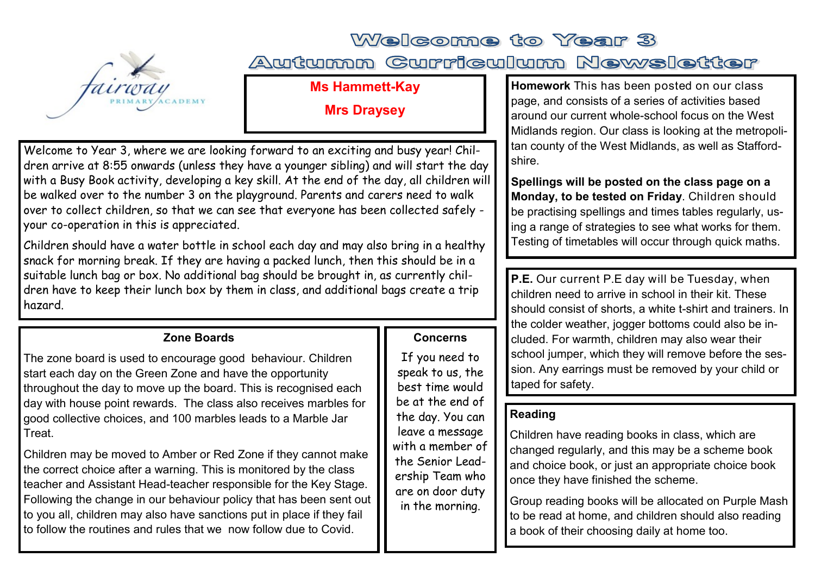## Welcome to Year 3



## Autumn Curriculum Newsletter

#### **Ms Hammett-Kay**

#### **Mrs Draysey**

Welcome to Year 3, where we are looking forward to an exciting and busy year! Children arrive at 8:55 onwards (unless they have a younger sibling) and will start the day with a Busy Book activity, developing a key skill. At the end of the day, all children will be walked over to the number 3 on the playground. Parents and carers need to walk over to collect children, so that we can see that everyone has been collected safely your co-operation in this is appreciated.

Children should have a water bottle in school each day and may also bring in a healthy snack for morning break. If they are having a packed lunch, then this should be in a suitable lunch bag or box. No additional bag should be brought in, as currently children have to keep their lunch box by them in class, and additional bags create a trip hazard.

#### **Zone Boards**

The zone board is used to encourage good behaviour. Children start each day on the Green Zone and have the opportunity throughout the day to move up the board. This is recognised each day with house point rewards. The class also receives marbles for good collective choices, and 100 marbles leads to a Marble Jar **Treat** 

Children may be moved to Amber or Red Zone if they cannot make the correct choice after a warning. This is monitored by the class teacher and Assistant Head-teacher responsible for the Key Stage. Following the change in our behaviour policy that has been sent out to you all, children may also have sanctions put in place if they fail to follow the routines and rules that we now follow due to Covid.

#### **Concerns**

If you need to speak to us, the best time would be at the end of the day. You can leave a message with a member of the Senior Leadership Team who are on door duty in the morning.

**Homework** This has been posted on our class page, and consists of a series of activities based around our current whole-school focus on the West Midlands region. Our class is looking at the metropolitan county of the West Midlands, as well as Staffordshire.

**Spellings will be posted on the class page on a Monday, to be tested on Friday**. Children should be practising spellings and times tables regularly, using a range of strategies to see what works for them. Testing of timetables will occur through quick maths.

**P.E.** Our current P.E day will be Tuesday, when children need to arrive in school in their kit. These should consist of shorts, a white t-shirt and trainers. In the colder weather, jogger bottoms could also be included. For warmth, children may also wear their school jumper, which they will remove before the session. Any earrings must be removed by your child or taped for safety.

#### **Reading**

Children have reading books in class, which are changed regularly, and this may be a scheme book and choice book, or just an appropriate choice book once they have finished the scheme.

Group reading books will be allocated on Purple Mash to be read at home, and children should also reading a book of their choosing daily at home too.